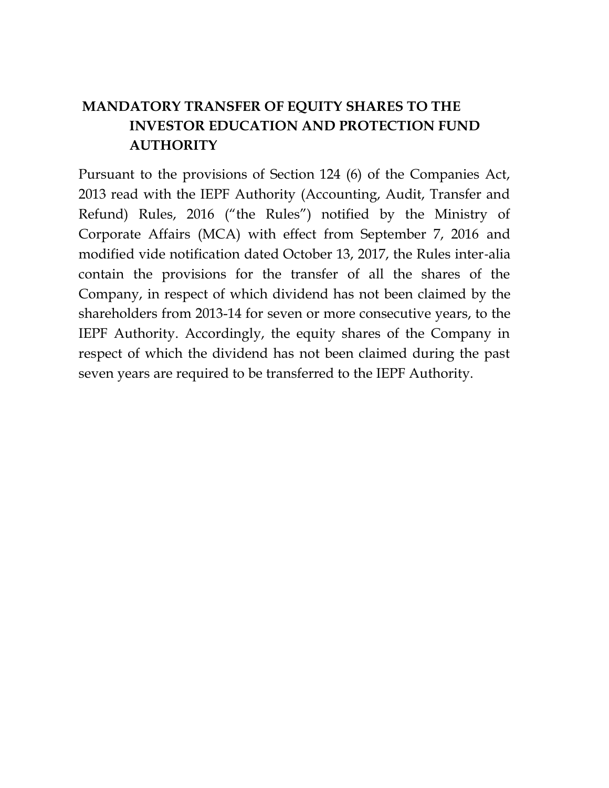## **MANDATORY TRANSFER OF EQUITY SHARES TO THE INVESTOR EDUCATION AND PROTECTION FUND AUTHORITY**

Pursuant to the provisions of Section 124 (6) of the Companies Act, 2013 read with the IEPF Authority (Accounting, Audit, Transfer and Refund) Rules, 2016 ("the Rules") notified by the Ministry of Corporate Affairs (MCA) with effect from September 7, 2016 and modified vide notification dated October 13, 2017, the Rules inter‐alia contain the provisions for the transfer of all the shares of the Company, in respect of which dividend has not been claimed by the shareholders from 2013-14 for seven or more consecutive years, to the IEPF Authority. Accordingly, the equity shares of the Company in respect of which the dividend has not been claimed during the past seven years are required to be transferred to the IEPF Authority.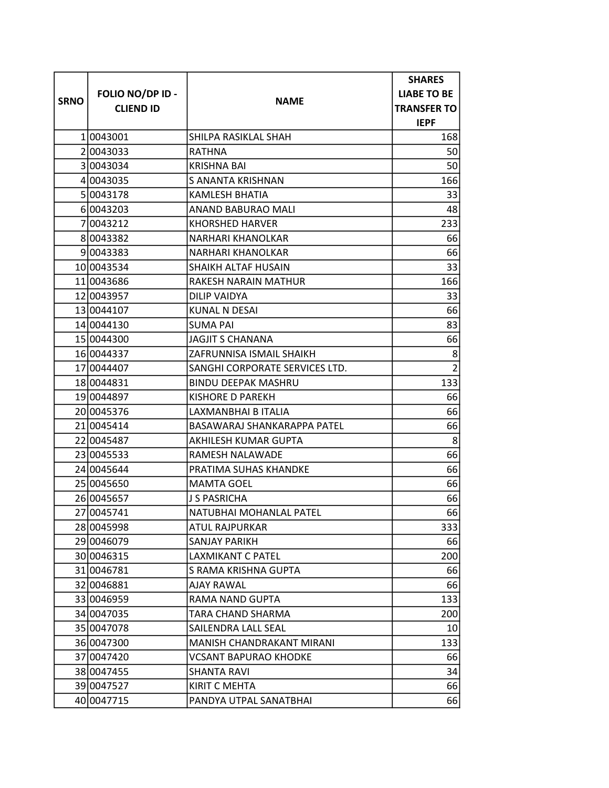|             |                  |                                | <b>SHARES</b>      |
|-------------|------------------|--------------------------------|--------------------|
|             | FOLIO NO/DP ID - |                                | <b>LIABE TO BE</b> |
| <b>SRNO</b> | <b>CLIEND ID</b> | <b>NAME</b>                    | <b>TRANSFER TO</b> |
|             |                  |                                | <b>IEPF</b>        |
|             | 10043001         | SHILPA RASIKLAL SHAH           | 168                |
|             | 20043033         | RATHNA                         | 50                 |
|             | 30043034         | <b>KRISHNA BAI</b>             | 50                 |
|             | 4 004 30 35      | S ANANTA KRISHNAN              | 166                |
|             | 5 0043178        | <b>KAMLESH BHATIA</b>          | 33                 |
|             | 60043203         | ANAND BABURAO MALI             | 48                 |
|             | 7 0043212        | <b>KHORSHED HARVER</b>         | 233                |
|             | 80043382         | NARHARI KHANOLKAR              | 66                 |
|             | 9 0 0 4 3 3 8 3  | NARHARI KHANOLKAR              | 66                 |
|             | 10 0043534       | SHAIKH ALTAF HUSAIN            | 33                 |
|             | 11 0043686       | RAKESH NARAIN MATHUR           | 166                |
|             | 12 004 3957      | DILIP VAIDYA                   | 33                 |
|             | 13 0044107       | <b>KUNAL N DESAI</b>           | 66                 |
|             | 14 0044130       | <b>SUMA PAI</b>                | 83                 |
|             | 15 0044300       | <b>JAGJIT S CHANANA</b>        | 66                 |
|             | 16 0044337       | ZAFRUNNISA ISMAIL SHAIKH       | 8                  |
|             | 17 0044407       | SANGHI CORPORATE SERVICES LTD. | $\overline{2}$     |
|             | 18 0044831       | <b>BINDU DEEPAK MASHRU</b>     | 133                |
|             | 19 0044897       | KISHORE D PAREKH               | 66                 |
|             | 2010045376       | LAXMANBHAI B ITALIA            | 66                 |
|             | 21 0045414       | BASAWARAJ SHANKARAPPA PATEL    | 66                 |
|             | 22 0045487       | AKHILESH KUMAR GUPTA           | 8                  |
|             | 23 0045533       | RAMESH NALAWADE                | 66                 |
|             | 24 0045 644      | PRATIMA SUHAS KHANDKE          | 66                 |
|             | 25 0045650       | <b>MAMTA GOEL</b>              | 66                 |
|             | 26 0045657       | <b>J S PASRICHA</b>            | 66                 |
|             | 27 0045741       | NATUBHAI MOHANLAL PATEL        | 66                 |
|             | 28 0045998       | ATUL RAJPURKAR                 | 333                |
|             | 29 0046079       | <b>SANJAY PARIKH</b>           | 66                 |
|             | 30 0046315       | LAXMIKANT C PATEL              | 200                |
|             | 31 0046781       | S RAMA KRISHNA GUPTA           | 66                 |
|             | 32 004 6881      | AJAY RAWAL                     | 66                 |
|             | 33 0046959       | RAMA NAND GUPTA                | 133                |
|             | 34 004 70 35     | TARA CHAND SHARMA              | 200                |
|             | 35 0047078       | SAILENDRA LALL SEAL            | 10 <sup>1</sup>    |
|             | 36 0047300       | MANISH CHANDRAKANT MIRANI      | 133                |
|             | 3710047420       | VCSANT BAPURAO KHODKE          | 66                 |
|             | 38 0047455       | SHANTA RAVI                    | 34                 |
|             | 39 0047527       | <b>KIRIT C MEHTA</b>           | 66                 |
|             | 40 0047715       | PANDYA UTPAL SANATBHAI         | 66                 |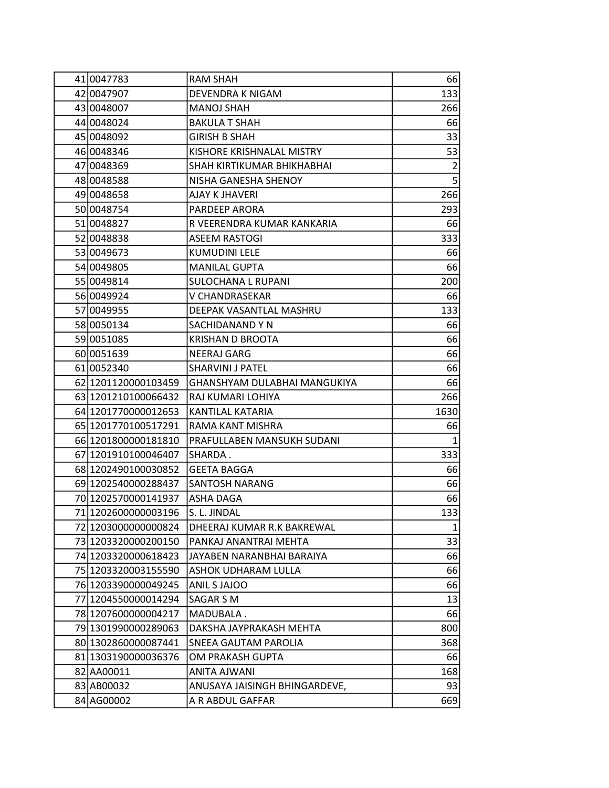| 41 0047783               | RAM SHAH                      | 66             |
|--------------------------|-------------------------------|----------------|
| 42 0047907               | DEVENDRA K NIGAM              | 133            |
| 43 004 8007              | <b>MANOJ SHAH</b>             | 266            |
| 44 004 8024              | <b>BAKULA T SHAH</b>          | 66             |
| 45 0048092               | GIRISH B SHAH                 | 33             |
| 46 0048346               | KISHORE KRISHNALAL MISTRY     | 53             |
| 47 0048369               | SHAH KIRTIKUMAR BHIKHABHAI    | $\overline{2}$ |
| 48 0048 588              | NISHA GANESHA SHENOY          | 5              |
| 49 0048 658              | <b>AJAY K JHAVERI</b>         | 266            |
| 50 0048754               | PARDEEP ARORA                 | 293            |
| 51 0048827               | R VEERENDRA KUMAR KANKARIA    | 66             |
| 52 0048838               | ASEEM RASTOGI                 | 333            |
| 53 0049673               | <b>KUMUDINI LELE</b>          | 66             |
| 54 004 980 5             | <b>MANILAL GUPTA</b>          | 66             |
| 55 0049814               | SULOCHANA L RUPANI            | 200            |
| 56 0049924               | V CHANDRASEKAR                | 66             |
| 57 0049955               | DEEPAK VASANTLAL MASHRU       | 133            |
| 58 0050134               | SACHIDANAND Y N               | 66             |
| 59 0051085               | KRISHAN D BROOTA              | 66             |
| 60 0051639               | NEERAJ GARG                   | 66             |
| 61 0052340               | SHARVINI J PATEL              | 66             |
| 62 1201120000103459      | GHANSHYAM DULABHAI MANGUKIYA  | 66             |
| 63 1201210100066432      | RAJ KUMARI LOHIYA             | 266            |
| 64 1201770000012653      | KANTILAL KATARIA              | 1630           |
| 65 1201770100517291      | RAMA KANT MISHRA              | 66             |
| 66 1201800000181810      | PRAFULLABEN MANSUKH SUDANI    | 1              |
| 67 1201910100046407      | SHARDA.                       | 333            |
| 68 120 249 010 00 30 852 | <b>GEETA BAGGA</b>            | 66             |
| 69 1202540000288437      | SANTOSH NARANG                | 66             |
| 70 12025 70000141937     | ASHA DAGA                     | 66             |
| 71 1202600000003196      | S. L. JINDAL                  | 133            |
| 72 1203000000000824      | DHEERAJ KUMAR R.K BAKREWAL    | $1\vert$       |
| 73 1203320000200150      | PANKAJ ANANTRAI MEHTA         | 33             |
| 74 12033 200006 18423    | JAYABEN NARANBHAI BARAIYA     | 66             |
| 75 1203320003155590      | ASHOK UDHARAM LULLA           | 66             |
| 76 1203390000049245      | ANIL S JAJOO                  | 66             |
| 77 1204550000014294      | SAGAR S M                     | 13             |
| 78 1207600000004217      | MADUBALA.                     | 66             |
| 79 1301990000289063      | DAKSHA JAYPRAKASH MEHTA       | 800            |
| 80 130 286 000 00 87441  | SNEEA GAUTAM PAROLIA          | 368            |
| 81 1303190000036376      | OM PRAKASH GUPTA              | 66             |
| 82 AA00011               | ANITA AJWANI                  | 168            |
| 83 AB00032               | ANUSAYA JAISINGH BHINGARDEVE, | 93             |
| 84 AG00002               | A R ABDUL GAFFAR              | 669            |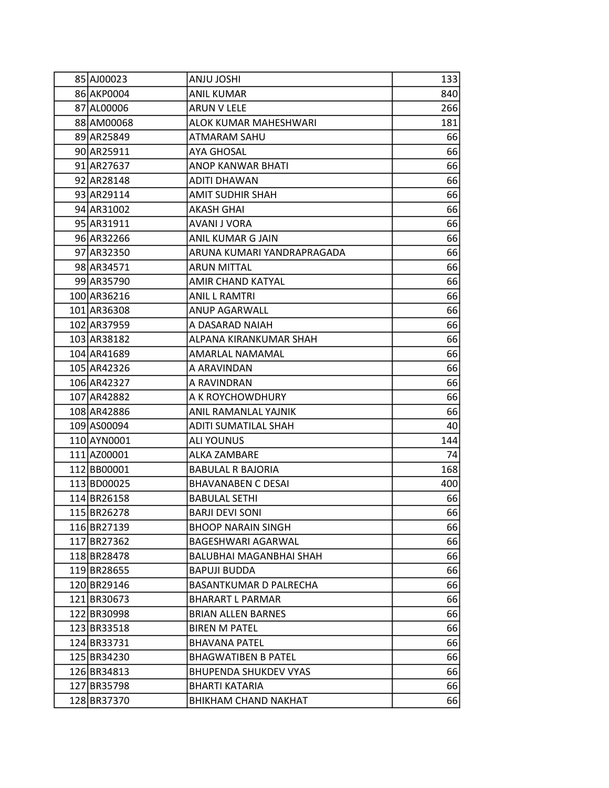| 85 AJ00023  | <b>ANJU JOSHI</b>             | 1331 |
|-------------|-------------------------------|------|
| 86 AKP0004  | <b>ANIL KUMAR</b>             | 840  |
| 87 AL00006  | ARUN V LELE                   | 266  |
| 88 AM00068  | ALOK KUMAR MAHESHWARI         | 181  |
| 89 AR25849  | ATMARAM SAHU                  | 66   |
| 90 AR25911  | <b>AYA GHOSAL</b>             | 66   |
| 91 AR27637  | ANOP KANWAR BHATI             | 66   |
| 92 AR28148  | ADITI DHAWAN                  | 66   |
| 93 AR29114  | <b>AMIT SUDHIR SHAH</b>       | 66   |
| 94 AR31002  | AKASH GHAI                    | 66   |
| 95 AR31911  | AVANI J VORA                  | 66   |
| 96 AR32266  | ANIL KUMAR G JAIN             | 66   |
| 97 AR32350  | ARUNA KUMARI YANDRAPRAGADA    | 66   |
| 98 AR34571  | <b>ARUN MITTAL</b>            | 66   |
| 99 AR35790  | AMIR CHAND KATYAL             | 66   |
| 100 AR36216 | <b>ANIL L RAMTRI</b>          | 66   |
| 101 AR36308 | ANUP AGARWALL                 | 66   |
| 102 AR37959 | A DASARAD NAIAH               | 66   |
| 103 AR38182 | ALPANA KIRANKUMAR SHAH        | 66   |
| 104 AR41689 | AMARLAL NAMAMAL               | 66   |
| 105 AR42326 | A ARAVINDAN                   | 66   |
| 106 AR42327 | A RAVINDRAN                   | 66   |
| 107 AR42882 | A K ROYCHOWDHURY              | 66   |
| 108 AR42886 | ANIL RAMANLAL YAJNIK          | 66   |
| 109 AS00094 | ADITI SUMATILAL SHAH          | 40   |
| 110 AYN0001 | <b>ALI YOUNUS</b>             | 144  |
| 111 AZ00001 | ALKA ZAMBARE                  | 74   |
| 112 BB00001 | <b>BABULAL R BAJORIA</b>      | 168  |
| 113 BD00025 | <b>BHAVANABEN C DESAI</b>     | 400  |
| 114BR26158  | <b>BABULAL SETHI</b>          | 66   |
| 115BR26278  | <b>BARJI DEVI SONI</b>        | 66   |
| 116 BR27139 | <b>BHOOP NARAIN SINGH</b>     | 66   |
| 117 BR27362 | BAGESHWARI AGARWAL            | 66   |
| 118BR28478  | BALUBHAI MAGANBHAI SHAH       | 66   |
| 119BR28655  | <b>BAPUJI BUDDA</b>           | 66   |
| 120 BR29146 | <b>BASANTKUMAR D PALRECHA</b> | 66   |
| 121 BR30673 | <b>BHARART L PARMAR</b>       | 66   |
| 122 BR30998 | <b>BRIAN ALLEN BARNES</b>     | 66   |
| 123 BR33518 | <b>BIREN M PATEL</b>          | 66   |
| 124 BR33731 | <b>BHAVANA PATEL</b>          | 66   |
| 125 BR34230 | <b>BHAGWATIBEN B PATEL</b>    | 66   |
| 126 BR34813 | <b>BHUPENDA SHUKDEV VYAS</b>  | 66   |
| 127 BR35798 | BHARTI KATARIA                | 66   |
| 128 BR37370 | <b>BHIKHAM CHAND NAKHAT</b>   | 66   |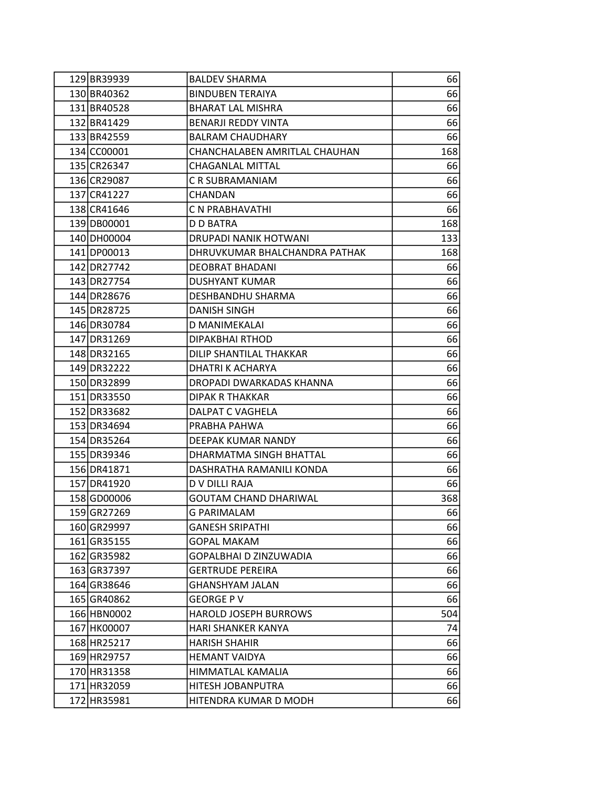| 129 BR39939 | <b>BALDEV SHARMA</b>          | 66  |
|-------------|-------------------------------|-----|
| 130 BR40362 | <b>BINDUBEN TERAIYA</b>       | 66  |
| 131 BR40528 | <b>BHARAT LAL MISHRA</b>      | 66  |
| 132 BR41429 | <b>BENARJI REDDY VINTA</b>    | 66  |
| 133 BR42559 | <b>BALRAM CHAUDHARY</b>       | 66  |
| 134 CC00001 | CHANCHALABEN AMRITLAL CHAUHAN | 168 |
| 135 CR26347 | CHAGANLAL MITTAL              | 66  |
| 136 CR29087 | C R SUBRAMANIAM               | 66  |
| 137 CR41227 | <b>CHANDAN</b>                | 66  |
| 138 CR41646 | C N PRABHAVATHI               | 66  |
| 139 DB00001 | D D BATRA                     | 168 |
| 140 DH00004 | DRUPADI NANIK HOTWANI         | 133 |
| 141 DP00013 | DHRUVKUMAR BHALCHANDRA PATHAK | 168 |
| 142 DR27742 | DEOBRAT BHADANI               | 66  |
| 143 DR27754 | <b>DUSHYANT KUMAR</b>         | 66  |
| 144 DR28676 | DESHBANDHU SHARMA             | 66  |
| 145 DR28725 | DANISH SINGH                  | 66  |
| 146 DR30784 | D MANIMEKALAI                 | 66  |
| 147 DR31269 | DIPAKBHAI RTHOD               | 66  |
| 148 DR32165 | DILIP SHANTILAL THAKKAR       | 66  |
| 149 DR32222 | DHATRI K ACHARYA              | 66  |
| 150 DR32899 | DROPADI DWARKADAS KHANNA      | 66  |
| 151 DR33550 | <b>DIPAK R THAKKAR</b>        | 66  |
| 152 DR33682 | DALPAT C VAGHELA              | 66  |
| 153 DR34694 | PRABHA PAHWA                  | 66  |
| 154 DR35264 | DEEPAK KUMAR NANDY            | 66  |
| 155 DR39346 | DHARMATMA SINGH BHATTAL       | 66  |
| 156 DR41871 | DASHRATHA RAMANILI KONDA      | 66  |
| 157 DR41920 | D V DILLI RAJA                | 66  |
| 158 GD00006 | <b>GOUTAM CHAND DHARIWAL</b>  | 368 |
| 159 GR27269 | <b>G PARIMALAM</b>            | 66  |
| 160 GR29997 | <b>GANESH SRIPATHI</b>        | 66  |
| 161 GR35155 | <b>GOPAL MAKAM</b>            | 66  |
| 162 GR35982 | GOPALBHAI D ZINZUWADIA        | 66  |
| 163 GR37397 | <b>GERTRUDE PEREIRA</b>       | 66  |
| 164 GR38646 | <b>GHANSHYAM JALAN</b>        | 66  |
| 165 GR40862 | <b>GEORGE PV</b>              | 66  |
| 166 HBN0002 | <b>HAROLD JOSEPH BURROWS</b>  | 504 |
| 167 HK00007 | HARI SHANKER KANYA            | 74  |
| 168 HR25217 | <b>HARISH SHAHIR</b>          | 66  |
| 169 HR29757 | <b>HEMANT VAIDYA</b>          | 66  |
| 170 HR31358 | HIMMATLAL KAMALIA             | 66  |
| 171 HR32059 | HITESH JOBANPUTRA             | 66  |
| 172 HR35981 | HITENDRA KUMAR D MODH         | 66  |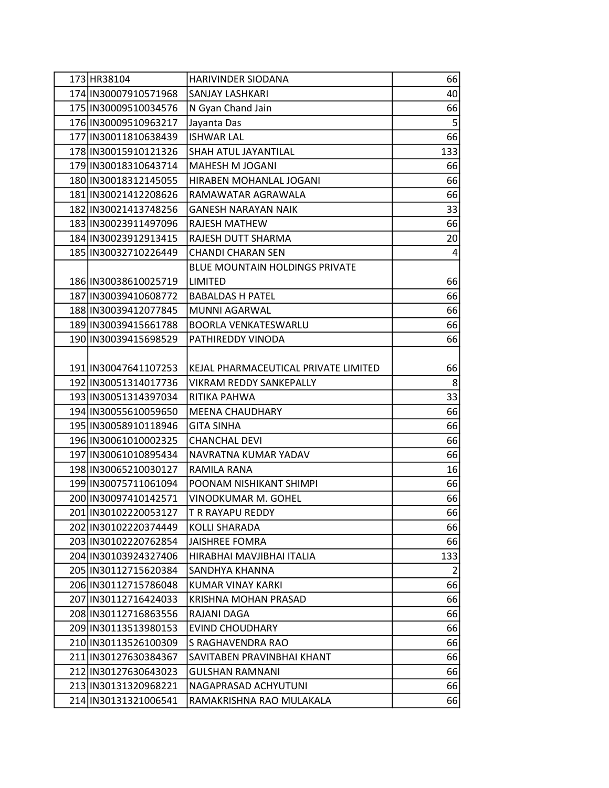| 173 HR38104            | <b>HARIVINDER SIODANA</b>             | 66             |
|------------------------|---------------------------------------|----------------|
| 174 IN30007910571968   | SANJAY LASHKARI                       | 40             |
| 175 IN30009510034576   | N Gyan Chand Jain                     | 66             |
| 176 IN30009510963217   | Jayanta Das                           | 5              |
| 177 IN30011810638439   | <b>ISHWAR LAL</b>                     | 66             |
| 178 IN30015910121326   | SHAH ATUL JAYANTILAL                  | 133            |
| 179 IN30018310643714   | MAHESH M JOGANI                       | 66             |
| 180 IN30018312145055   | HIRABEN MOHANLAL JOGANI               | 66             |
| 181 IN30021412208626   | RAMAWATAR AGRAWALA                    | 66             |
| 182 IN30021413748256   | <b>GANESH NARAYAN NAIK</b>            | 33             |
| 183 IN30023911497096   | <b>RAJESH MATHEW</b>                  | 66             |
| 184 IN30023912913415   | RAJESH DUTT SHARMA                    | 20             |
| 185 IN30032710226449   | <b>CHANDI CHARAN SEN</b>              | 4              |
|                        | <b>BLUE MOUNTAIN HOLDINGS PRIVATE</b> |                |
| 186   IN30038610025719 | LIMITED                               | 66             |
| 187 IN30039410608772   | <b>BABALDAS H PATEL</b>               | 66             |
| 188 IN 30039412077845  | MUNNI AGARWAL                         | 66             |
| 189 IN30039415661788   | <b>BOORLA VENKATESWARLU</b>           | 66             |
| 190 IN30039415698529   | PATHIREDDY VINODA                     | 66             |
|                        |                                       |                |
| 191   IN30047641107253 | KEJAL PHARMACEUTICAL PRIVATE LIMITED  | 66             |
| 192 IN30051314017736   | VIKRAM REDDY SANKEPALLY               | 8 <sup>1</sup> |
| 193 IN30051314397034   | RITIKA PAHWA                          | 33             |
| 194 IN30055610059650   | <b>MEENA CHAUDHARY</b>                | 66             |
| 195 IN30058910118946   | <b>GITA SINHA</b>                     | 66             |
| 196 IN30061010002325   | <b>CHANCHAL DEVI</b>                  | 66             |
| 197 IN30061010895434   | NAVRATNA KUMAR YADAV                  | 66             |
| 198   IN30065210030127 | RAMILA RANA                           | 16             |
| 199 IN30075711061094   | POONAM NISHIKANT SHIMPI               | 66             |
| 200 IN30097410142571   | <b>VINODKUMAR M. GOHEL</b>            | 66             |
| 201 IN30102220053127   | <b>T R RAYAPU REDDY</b>               | 66             |
| 202 IN30102220374449   | <b>KOLLI SHARADA</b>                  | 66             |
| 203 IN30102220762854   | <b>JAISHREE FOMRA</b>                 | 66             |
| 204 IN30103924327406   | HIRABHAI MAVJIBHAI ITALIA             | 133            |
| 205 IN30112715620384   | SANDHYA KHANNA                        | $\overline{2}$ |
| 206 IN30112715786048   | KUMAR VINAY KARKI                     | 66             |
| 207 IN30112716424033   | <b>KRISHNA MOHAN PRASAD</b>           | 66             |
| 208 IN30112716863556   | RAJANI DAGA                           | 66             |
| 209 IN30113513980153   | <b>EVIND CHOUDHARY</b>                | 66             |
| 210   IN30113526100309 | S RAGHAVENDRA RAO                     | 66             |
| 211 IN30127630384367   | SAVITABEN PRAVINBHAI KHANT            | 66             |
| 212 IN30127630643023   | <b>GULSHAN RAMNANI</b>                | 66             |
| 213 IN30131320968221   | NAGAPRASAD ACHYUTUNI                  | 66             |
| 214 IN30131321006541   | RAMAKRISHNA RAO MULAKALA              | 66             |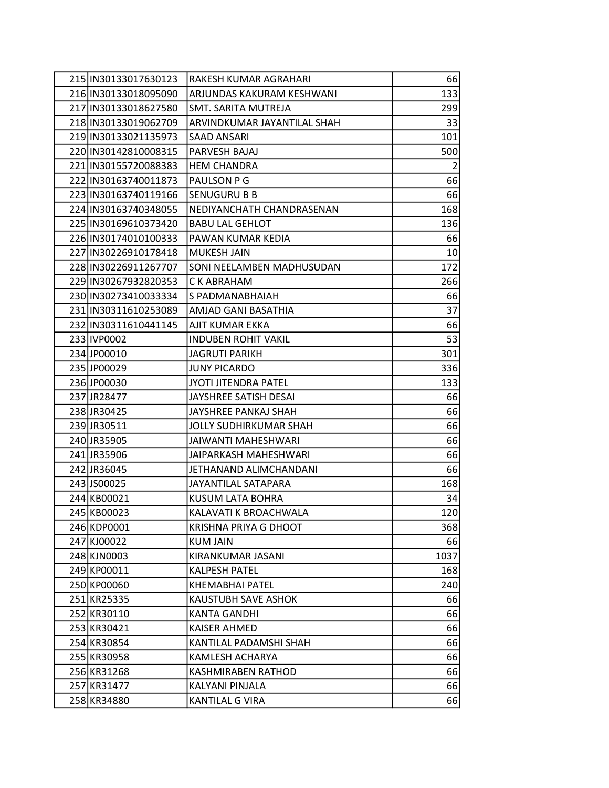| 215 IN30133017630123   | RAKESH KUMAR AGRAHARI         | 66              |
|------------------------|-------------------------------|-----------------|
| 216 IN30133018095090   | ARJUNDAS KAKURAM KESHWANI     | 133             |
| 217 IN30133018627580   | SMT. SARITA MUTREJA           | 299             |
| 218 IN30133019062709   | ARVINDKUMAR JAYANTILAL SHAH   | 33              |
| 219 IN30133021135973   | SAAD ANSARI                   | 101             |
| 220 IN30142810008315   | PARVESH BAJAJ                 | 500             |
| 221   IN30155720088383 | <b>HEM CHANDRA</b>            | $\overline{2}$  |
| 222 IN30163740011873   | PAULSON P G                   | 66              |
| 223 IN30163740119166   | <b>SENUGURU B B</b>           | 66              |
| 224 IN30163740348055   | NEDIYANCHATH CHANDRASENAN     | 168             |
| 225 IN30169610373420   | <b>BABU LAL GEHLOT</b>        | 136             |
| 226 IN30174010100333   | PAWAN KUMAR KEDIA             | 66              |
| 227 IN30226910178418   | MUKESH JAIN                   | 10 <sup>1</sup> |
| 228 IN30226911267707   | SONI NEELAMBEN MADHUSUDAN     | 172             |
| 229 IN30267932820353   | C K ABRAHAM                   | 266             |
| 230 IN30273410033334   | S PADMANABHAIAH               | 66              |
| 231 IN30311610253089   | AMJAD GANI BASATHIA           | 37              |
| 232 IN30311610441145   | AJIT KUMAR EKKA               | 66              |
| 233 IVP0002            | <b>INDUBEN ROHIT VAKIL</b>    | 53              |
| 234JP00010             | <b>JAGRUTI PARIKH</b>         | 301             |
| 235JJP00029            | <b>JUNY PICARDO</b>           | 336             |
| 236JP00030             | JYOTI JITENDRA PATEL          | 133             |
| 237JJR28477            | JAYSHREE SATISH DESAI         | 66              |
| 238JR30425             | JAYSHREE PANKAJ SHAH          | 66              |
| 239JR30511             | <b>JOLLY SUDHIRKUMAR SHAH</b> | 66              |
| 240 JR35905            | JAIWANTI MAHESHWARI           | 66              |
| 241JR35906             | JAIPARKASH MAHESHWARI         | 66              |
| 242JR36045             | JETHANAND ALIMCHANDANI        | 66              |
| 243 JS00025            | JAYANTILAL SATAPARA           | 168             |
| 244 KB00021            | KUSUM LATA BOHRA              | 34              |
| 245 KB00023            | KALAVATI K BROACHWALA         | 120             |
| 246 KDP0001            | KRISHNA PRIYA G DHOOT         | 368             |
| 247 KJ00022            | <b>KUM JAIN</b>               | 66              |
| 248 KJN0003            | KIRANKUMAR JASANI             | 1037            |
| 249 KP00011            | <b>KALPESH PATEL</b>          | 168             |
| 250 KP00060            | KHEMABHAI PATEL               | 240             |
| 251 KR25335            | KAUSTUBH SAVE ASHOK           | 66              |
| 252 KR30110            | KANTA GANDHI                  | 66              |
| 253 KR30421            | KAISER AHMED                  | 66              |
| 254 KR30854            | KANTILAL PADAMSHI SHAH        | 66              |
| 255 KR30958            | KAMLESH ACHARYA               | 66              |
| 256 KR31268            | KASHMIRABEN RATHOD            | 66              |
| 257 KR31477            | KALYANI PINJALA               | 66              |
| 258 KR34880            | KANTILAL G VIRA               | 66              |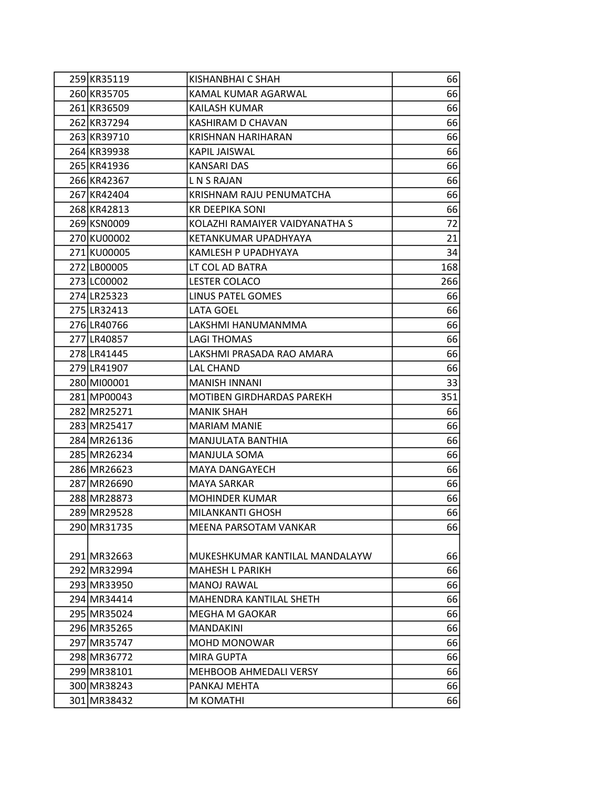| 259 KR35119 | KISHANBHAI C SHAH                | 66  |
|-------------|----------------------------------|-----|
| 260 KR35705 | KAMAL KUMAR AGARWAL              | 66  |
| 261 KR36509 | KAILASH KUMAR                    | 66  |
| 262 KR37294 | KASHIRAM D CHAVAN                | 66  |
| 263 KR39710 | <b>KRISHNAN HARIHARAN</b>        | 66  |
| 264 KR39938 | KAPIL JAISWAL                    | 66  |
| 265 KR41936 | KANSARI DAS                      | 66  |
| 266 KR42367 | L N S RAJAN                      | 66  |
| 267 KR42404 | KRISHNAM RAJU PENUMATCHA         | 66  |
| 268 KR42813 | <b>KR DEEPIKA SONI</b>           | 66  |
| 269 KSN0009 | KOLAZHI RAMAIYER VAIDYANATHA S   | 72  |
| 270 KU00002 | KETANKUMAR UPADHYAYA             | 21  |
| 271 KU00005 | KAMLESH P UPADHYAYA              | 34  |
| 272 LB00005 | LT COL AD BATRA                  | 168 |
| 273 LC00002 | <b>LESTER COLACO</b>             | 266 |
| 274 LR25323 | LINUS PATEL GOMES                | 66  |
| 275 LR32413 | LATA GOEL                        | 66  |
| 276 LR40766 | LAKSHMI HANUMANMMA               | 66  |
| 277 LR40857 | <b>LAGI THOMAS</b>               | 66  |
| 278 LR41445 | LAKSHMI PRASADA RAO AMARA        | 66  |
| 279 LR41907 | LAL CHAND                        | 66  |
| 280 MI00001 | <b>MANISH INNANI</b>             | 33  |
| 281 MP00043 | <b>MOTIBEN GIRDHARDAS PAREKH</b> | 351 |
| 282 MR25271 | <b>MANIK SHAH</b>                | 66  |
| 283 MR25417 | <b>MARIAM MANIE</b>              | 66  |
| 284 MR26136 | MANJULATA BANTHIA                | 66  |
| 285 MR26234 | <b>MANJULA SOMA</b>              | 66  |
| 286 MR26623 | MAYA DANGAYECH                   | 66  |
| 287 MR26690 | <b>MAYA SARKAR</b>               | 66  |
| 288 MR28873 | <b>MOHINDER KUMAR</b>            | 66  |
|             |                                  |     |
| 289 MR29528 | MILANKANTI GHOSH                 | 66  |
| 290 MR31735 | MEENA PARSOTAM VANKAR            | 66  |
|             |                                  |     |
| 291 MR32663 | MUKESHKUMAR KANTILAL MANDALAYW   | 66  |
| 292 MR32994 | <b>MAHESH L PARIKH</b>           | 66  |
| 293 MR33950 | <b>MANOJ RAWAL</b>               | 66  |
| 294 MR34414 | MAHENDRA KANTILAL SHETH          | 66  |
| 295 MR35024 | MEGHA M GAOKAR                   | 66  |
| 296 MR35265 | <b>MANDAKINI</b>                 | 66  |
| 297 MR35747 | MOHD MONOWAR                     | 66  |
| 298 MR36772 | <b>MIRA GUPTA</b>                | 66  |
| 299 MR38101 | MEHBOOB AHMEDALI VERSY           | 66  |
| 300 MR38243 | PANKAJ MEHTA                     | 66  |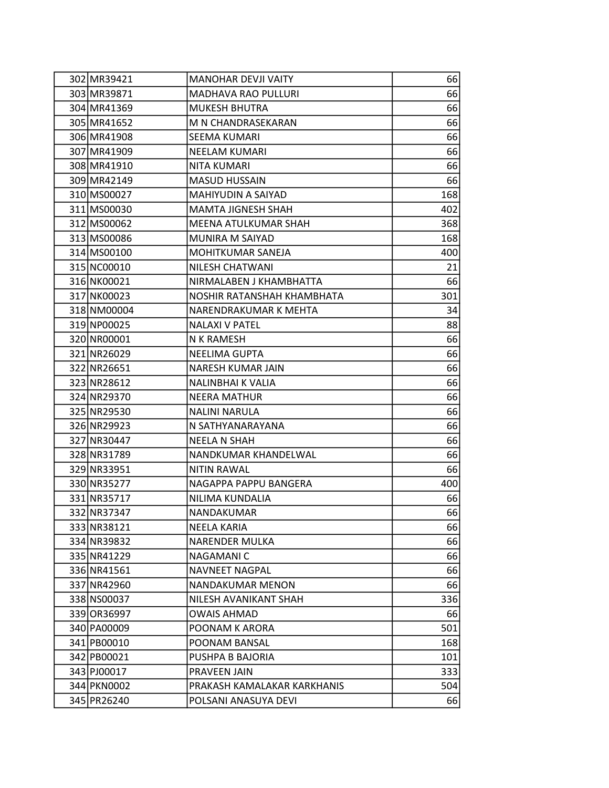| 302 MR39421 | <b>MANOHAR DEVJI VAITY</b>  | 66  |
|-------------|-----------------------------|-----|
| 303 MR39871 | <b>MADHAVA RAO PULLURI</b>  | 66  |
| 304 MR41369 | <b>MUKESH BHUTRA</b>        | 66  |
| 305 MR41652 | M N CHANDRASEKARAN          | 66  |
| 306 MR41908 | SEEMA KUMARI                | 66  |
| 307 MR41909 | <b>NEELAM KUMARI</b>        | 66  |
| 308 MR41910 | NITA KUMARI                 | 66  |
| 309 MR42149 | <b>MASUD HUSSAIN</b>        | 66  |
| 310 MS00027 | MAHIYUDIN A SAIYAD          | 168 |
| 311 MS00030 | MAMTA JIGNESH SHAH          | 402 |
| 312 MS00062 | MEENA ATULKUMAR SHAH        | 368 |
| 313 MS00086 | MUNIRA M SAIYAD             | 168 |
| 314 MS00100 | MOHITKUMAR SANEJA           | 400 |
| 315 NC00010 | NILESH CHATWANI             | 21  |
| 316 NK00021 | NIRMALABEN J KHAMBHATTA     | 66  |
| 317 NK00023 | NOSHIR RATANSHAH KHAMBHATA  | 301 |
| 318 NM00004 | NARENDRAKUMAR K MEHTA       | 34  |
| 319 NP00025 | <b>NALAXI V PATEL</b>       | 88  |
| 320 NR00001 | N K RAMESH                  | 66  |
| 321 NR26029 | <b>NEELIMA GUPTA</b>        | 66  |
| 322 NR26651 | NARESH KUMAR JAIN           | 66  |
| 323 NR28612 | NALINBHAI K VALIA           | 66  |
| 324 NR29370 | <b>NEERA MATHUR</b>         | 66  |
| 325 NR29530 | <b>NALINI NARULA</b>        | 66  |
| 326 NR29923 | N SATHYANARAYANA            | 66  |
| 327 NR30447 | <b>NEELA N SHAH</b>         | 66  |
| 328 NR31789 | NANDKUMAR KHANDELWAL        | 66  |
| 329 NR33951 | <b>NITIN RAWAL</b>          | 66  |
| 330 NR35277 | NAGAPPA PAPPU BANGERA       | 400 |
| 331 NR35717 | NILIMA KUNDALIA             | 66  |
| 332 NR37347 | <b>NANDAKUMAR</b>           | 66  |
| 333 NR38121 | NEELA KARIA                 | 66  |
| 334 NR39832 | NARENDER MULKA              | 66  |
| 335 NR41229 | NAGAMANI C                  | 66  |
| 336 NR41561 | <b>NAVNEET NAGPAL</b>       | 66  |
| 337 NR42960 | NANDAKUMAR MENON            | 66  |
| 338 NS00037 | NILESH AVANIKANT SHAH       | 336 |
| 339 OR36997 | OWAIS AHMAD                 | 66  |
| 340 PA00009 | POONAM K ARORA              | 501 |
| 341 PB00010 | POONAM BANSAL               | 168 |
| 342 PB00021 | PUSHPA B BAJORIA            | 101 |
| 343 PJ00017 | PRAVEEN JAIN                | 333 |
| 344 PKN0002 | PRAKASH KAMALAKAR KARKHANIS | 504 |
| 345 PR26240 | POLSANI ANASUYA DEVI        | 66  |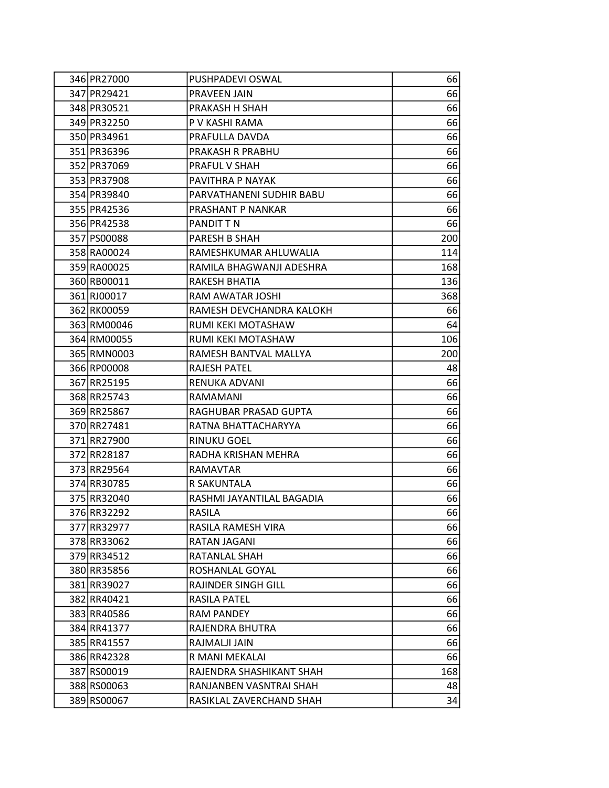| 346 PR27000 | PUSHPADEVI OSWAL           | 66  |
|-------------|----------------------------|-----|
| 347 PR29421 | PRAVEEN JAIN               | 66  |
| 348 PR30521 | PRAKASH H SHAH             | 66  |
| 349 PR32250 | P V KASHI RAMA             | 66  |
| 350 PR34961 | PRAFULLA DAVDA             | 66  |
| 351 PR36396 | PRAKASH R PRABHU           | 66  |
| 352 PR37069 | PRAFUL V SHAH              | 66  |
| 353 PR37908 | PAVITHRA P NAYAK           | 66  |
| 354 PR39840 | PARVATHANENI SUDHIR BABU   | 66  |
| 355 PR42536 | PRASHANT P NANKAR          | 66  |
| 356 PR42538 | PANDIT T N                 | 66  |
| 357 PS00088 | PARESH B SHAH              | 200 |
| 358 RA00024 | RAMESHKUMAR AHLUWALIA      | 114 |
| 359 RA00025 | RAMILA BHAGWANJI ADESHRA   | 168 |
| 360 RB00011 | RAKESH BHATIA              | 136 |
| 361 RJ00017 | RAM AWATAR JOSHI           | 368 |
| 362 RK00059 | RAMESH DEVCHANDRA KALOKH   | 66  |
| 363 RM00046 | RUMI KEKI MOTASHAW         | 64  |
| 364 RM00055 | <b>RUMI KEKI MOTASHAW</b>  | 106 |
| 365 RMN0003 | RAMESH BANTVAL MALLYA      | 200 |
| 366 RP00008 | RAJESH PATEL               | 48  |
| 367 RR25195 | RENUKA ADVANI              | 66  |
| 368 RR25743 | RAMAMANI                   | 66  |
| 369 RR25867 | RAGHUBAR PRASAD GUPTA      | 66  |
| 370 RR27481 | RATNA BHATTACHARYYA        | 66  |
| 371 RR27900 | <b>RINUKU GOEL</b>         | 66  |
| 372 RR28187 | RADHA KRISHAN MEHRA        | 66  |
| 373 RR29564 | <b>RAMAVTAR</b>            | 66  |
| 374 RR30785 | R SAKUNTALA                | 66  |
| 375 RR32040 | RASHMI JAYANTILAL BAGADIA  | 66  |
| 376 RR32292 | <b>RASILA</b>              | 66  |
| 377 RR32977 | RASILA RAMESH VIRA         | 66  |
| 378 RR33062 | RATAN JAGANI               | 66  |
| 379 RR34512 | RATANLAL SHAH              | 66  |
| 380 RR35856 | ROSHANLAL GOYAL            | 66  |
| 381 RR39027 | <b>RAJINDER SINGH GILL</b> | 66  |
| 382 RR40421 | RASILA PATEL               | 66  |
| 383 RR40586 | <b>RAM PANDEY</b>          | 66  |
| 384 RR41377 | RAJENDRA BHUTRA            | 66  |
| 385 RR41557 | RAJMALJI JAIN              | 66  |
| 386 RR42328 | R MANI MEKALAI             | 66  |
| 387 RS00019 | RAJENDRA SHASHIKANT SHAH   | 168 |
| 388 RS00063 | RANJANBEN VASNTRAI SHAH    | 48  |
| 389 RS00067 | RASIKLAL ZAVERCHAND SHAH   | 34  |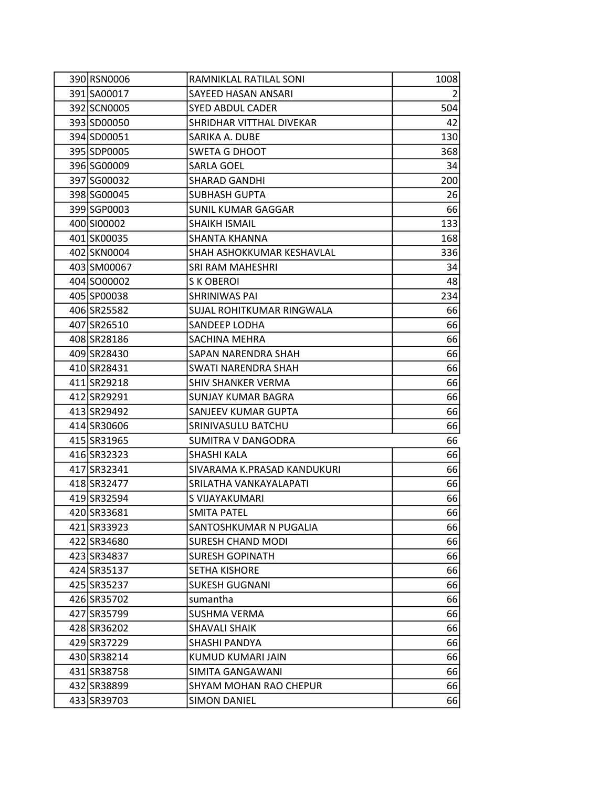| 390 RSN0006 | RAMNIKLAL RATILAL SONI      | 1008           |
|-------------|-----------------------------|----------------|
| 391 SA00017 | SAYEED HASAN ANSARI         | $\overline{2}$ |
| 392 SCN0005 | <b>SYED ABDUL CADER</b>     | 504            |
| 393 SD00050 | SHRIDHAR VITTHAL DIVEKAR    | 42             |
| 394 SD00051 | SARIKA A. DUBE              | 130            |
| 395 SDP0005 | <b>SWETA G DHOOT</b>        | 368            |
| 396 SG00009 | <b>SARLA GOEL</b>           | 34             |
| 397 SG00032 | <b>SHARAD GANDHI</b>        | 200            |
| 398 SG00045 | <b>SUBHASH GUPTA</b>        | 26             |
| 399 SGP0003 | SUNIL KUMAR GAGGAR          | 66             |
| 400 SI00002 | <b>SHAIKH ISMAIL</b>        | 133            |
| 401 SK00035 | SHANTA KHANNA               | 168            |
| 402 SKN0004 | SHAH ASHOKKUMAR KESHAVLAL   | 336            |
| 403 SM00067 | SRI RAM MAHESHRI            | 34             |
| 404 SO00002 | S K OBEROI                  | 48             |
| 405 SP00038 | SHRINIWAS PAI               | 234            |
| 406 SR25582 | SUJAL ROHITKUMAR RINGWALA   | 66             |
| 407 SR26510 | SANDEEP LODHA               | 66             |
| 408 SR28186 | SACHINA MEHRA               | 66             |
| 409 SR28430 | SAPAN NARENDRA SHAH         | 66             |
| 410 SR28431 | <b>SWATI NARENDRA SHAH</b>  | 66             |
| 411 SR29218 | SHIV SHANKER VERMA          | 66             |
| 412 SR29291 | <b>SUNJAY KUMAR BAGRA</b>   | 66             |
| 413 SR29492 | SANJEEV KUMAR GUPTA         | 66             |
| 414 SR30606 | SRINIVASULU BATCHU          | 66             |
| 415 SR31965 | SUMITRA V DANGODRA          | 66             |
| 416 SR32323 | SHASHI KALA                 | 66             |
| 417 SR32341 | SIVARAMA K.PRASAD KANDUKURI | 66             |
| 418 SR32477 | SRILATHA VANKAYALAPATI      | 66             |
| 419 SR32594 | S VIJAYAKUMARI              | 66             |
| 420 SR33681 | <b>SMITA PATEL</b>          | 66             |
| 421 SR33923 | SANTOSHKUMAR N PUGALIA      | 66             |
| 422 SR34680 | <b>SURESH CHAND MODI</b>    | 66             |
| 423 SR34837 | <b>SURESH GOPINATH</b>      | 66             |
| 424 SR35137 | SETHA KISHORE               | 66             |
| 425 SR35237 | <b>SUKESH GUGNANI</b>       | 66             |
| 426 SR35702 | sumantha                    | 66             |
| 427 SR35799 | <b>SUSHMA VERMA</b>         | 66             |
| 428 SR36202 | <b>SHAVALI SHAIK</b>        | 66             |
| 429 SR37229 | SHASHI PANDYA               | 66             |
| 430 SR38214 | KUMUD KUMARI JAIN           | 66             |
| 431 SR38758 | SIMITA GANGAWANI            | 66             |
| 432 SR38899 | SHYAM MOHAN RAO CHEPUR      | 66             |
| 433 SR39703 | <b>SIMON DANIEL</b>         | 66             |